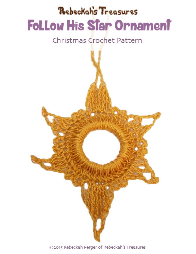# Rebeckahs Treasures **Follow His Star Ornament**

# Christmas Crochet Pattern



©2015 Rebeckah Ferger of Rebeckah's Treasures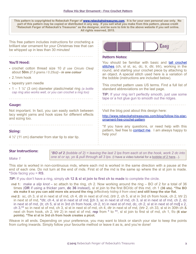**This pattern is copyrighted to Rebeckah Ferger of [www.rebeckahstreasures.com.](http://www.rebeckahstreasures.com) It is for your own personal use only. No part of this pattern may be copied or distributed in any way. If you sell what you make from this pattern, please credit "Rebeckah Ferger of Rebeckah's Treasures" as the designer, and be sure to link to the above website if you sell online. All rights reserved, 2015.**

| This free pattern includes instructions for crocheting a<br>brilliant star ornament for your Christmas tree that can<br>be whipped up in less than 30 minutes! | <b>Easy</b>                                                                                                                                                                                                                                                                             |  |
|----------------------------------------------------------------------------------------------------------------------------------------------------------------|-----------------------------------------------------------------------------------------------------------------------------------------------------------------------------------------------------------------------------------------------------------------------------------------|--|
|                                                                                                                                                                | <b>Pattern Notes:</b>                                                                                                                                                                                                                                                                   |  |
| You'll Need:<br>• crochet cotton thread size 10 (I use Circulo Clea)<br>about 50m (7.5 grams / 0.25oz) - in one colour<br>$\cdot$ 2.1mm hook                   | You should be familiar with basic and tall crochet<br>stitches (ch, sl st, sc, dc, tr, dtr, trtr), working in the<br>round, and starting your crochet piece by attaching to<br>an object. A special stitch used here is a variation of<br>the bobble (instructions are included below). |  |
| • tapestry yarn needle<br>• $1 - 1$ $\frac{1}{4}$ (3 cm) diameter plastic/metal ring (a bottle<br>cap ring also works well, or you can crochet a ring too)     | This crochet pattern uses US terms. Find a full list of<br>standard abbreviations on the last page.<br><b>TIP:</b> If your ring isn't perfectly smooth, just use some<br>tape or a hot glue gun to smooth out the ridges.                                                               |  |
| <b>Gauge:</b>                                                                                                                                                  |                                                                                                                                                                                                                                                                                         |  |
| Not important. In fact, you can easily switch between<br>lacy weight yarns and hook sizes for different effects<br>and sizing too.                             | Visit the blog post about this design here:<br>http://www.rebeckahstreasures.com/blog/follow-his-star-<br>ornament-free-crochet-pattern                                                                                                                                                 |  |
| Sizing:<br>$4\frac{1}{3}$ (11 cm) diameter from star tip to star tip.                                                                                          | *If you have any questions, or need help with this<br>pattern, feel free to <b>contact me</b> . I am always happy to<br>help you!                                                                                                                                                       |  |
| <b>Star Instructions:</b><br><b>*RO of 2</b> (bobble of 2) - lequing the lost 2 lps from each st on the book, work 2 de into                                   |                                                                                                                                                                                                                                                                                         |  |

#### *Make 1*

*\*BO of 2 (bobble of 2) = leaving the last 2 lps from each st on the hook, work 2 dc into one st or sp, yo & pull through all 3 lps.* (I have a video tutorial for a [bobble of 2 here.](http://www.rebeckahstreasures.com/blog/bobble-of-2-crochet-stitch-tutorial)..).

This star is worked in non-continuous rnds, where each rnd is worked in the same direction with a pause at the end of each one. Do not turn at the end of rnds. First st of the rnd is the same sp where the sl st join is made. **\***Side facing you = **RS**.

*TIP:* If you don't have a ring, simply **ch 12 & sl st join to first ch to made** to complete the circle.

- **rnd 1:** *make a slip knot –* sc attach to the ring, ch 2. Now working around the ring BO of 2 for a total of 36 times (**OR** if using a thicker yarn, **dc 36** instead), sl st join to the first BO/dc of this rnd, ch 1 **(36 sts). \*The BO sts make it so you can add more sts around the ring** *(effectively hiding it from view)* **and still keep the star flat.**
- **rnd 2:** sc, ch 3, sl st in next st of rnd, ch 4, dtr in next st of rnd, (trtr 2, ch 5, sl st in 3rd ch from hook, ch 2, trtr 2) in next st of rnd, **\***dtr, ch 4, sl st in next st of rnd, **[**ch 3, sc in next st of rnd, ch 3, sl st in next st of rnd, ch 2, dc in next st of rnd, (tr, ch 5, sl st in 3rd ch from hook, ch 2, tr) in next st of rnd, dc, ch 2, sl st in next st of rnd**]** x 2, ch 3,**\*\*** sc in next st of rnd, ch 3, sl st in next st of rnd, ch 4, dtr in next st of rnd, (trtr 2, ch 33, sl st in 30th ch & next ch from hook, ch 2, trtr 2) in next st of rnd, **rep** from **\*** to **\*\***, sl st join to first st of rnd, ch 1, f/o **(6 star points). \*The sl st in 3rd ch from hook creates a picot.**

Weave in all ends. Depending on your preference, you may want to block or starch your star to keep the points from curling inwards. Simply follow your favourite method or leave it as is, and you're done!